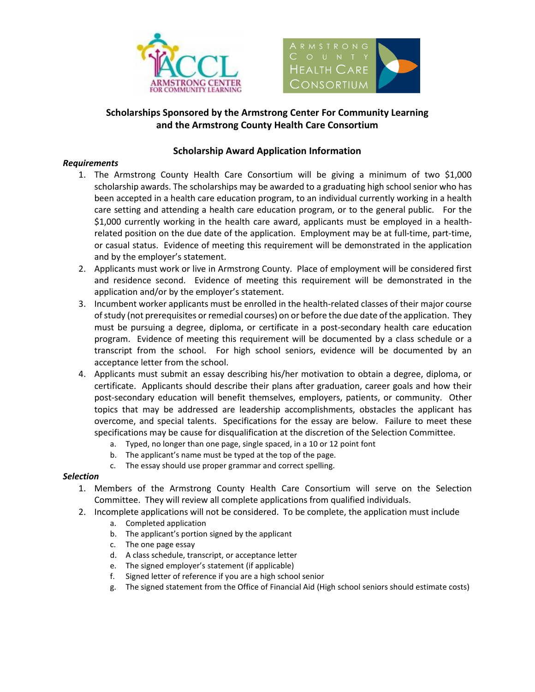



## **Scholarships Sponsored by the Armstrong Center For Community Learning and the Armstrong County Health Care Consortium**

### **Scholarship Award Application Information**

### *Requirements*

- 1. The Armstrong County Health Care Consortium will be giving a minimum of two \$1,000 scholarship awards. The scholarships may be awarded to a graduating high school senior who has been accepted in a health care education program, to an individual currently working in a health care setting and attending a health care education program, or to the general public. For the \$1,000 currently working in the health care award, applicants must be employed in a healthrelated position on the due date of the application. Employment may be at full-time, part-time, or casual status. Evidence of meeting this requirement will be demonstrated in the application and by the employer's statement.
- 2. Applicants must work or live in Armstrong County. Place of employment will be considered first and residence second. Evidence of meeting this requirement will be demonstrated in the application and/or by the employer's statement.
- 3. Incumbent worker applicants must be enrolled in the health-related classes of their major course of study (not prerequisites or remedial courses) on or before the due date of the application. They must be pursuing a degree, diploma, or certificate in a post-secondary health care education program. Evidence of meeting this requirement will be documented by a class schedule or a transcript from the school. For high school seniors, evidence will be documented by an acceptance letter from the school.
- 4. Applicants must submit an essay describing his/her motivation to obtain a degree, diploma, or certificate. Applicants should describe their plans after graduation, career goals and how their post-secondary education will benefit themselves, employers, patients, or community. Other topics that may be addressed are leadership accomplishments, obstacles the applicant has overcome, and special talents. Specifications for the essay are below. Failure to meet these specifications may be cause for disqualification at the discretion of the Selection Committee.
	- a. Typed, no longer than one page, single spaced, in a 10 or 12 point font
	- b. The applicant's name must be typed at the top of the page.
	- c. The essay should use proper grammar and correct spelling.

### *Selection*

- 1. Members of the Armstrong County Health Care Consortium will serve on the Selection Committee. They will review all complete applications from qualified individuals.
- 2. Incomplete applications will not be considered. To be complete, the application must include
	- a. Completed application
	- b. The applicant's portion signed by the applicant
	- c. The one page essay
	- d. A class schedule, transcript, or acceptance letter
	- e. The signed employer's statement (if applicable)
	- f. Signed letter of reference if you are a high school senior
	- g. The signed statement from the Office of Financial Aid (High school seniors should estimate costs)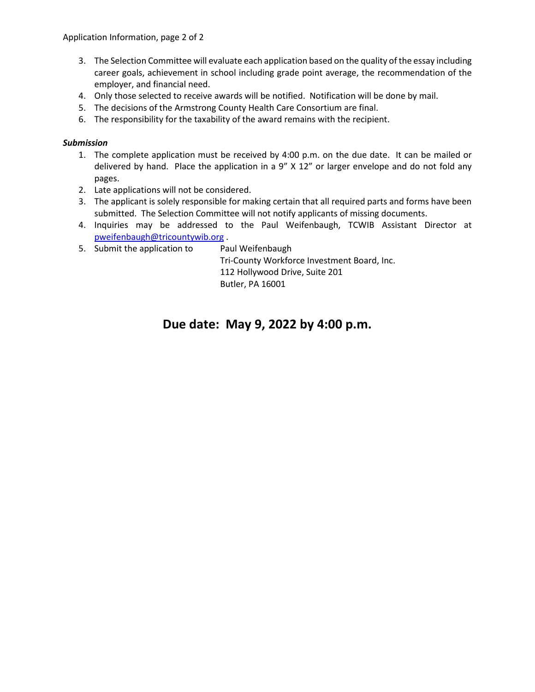- 3. The Selection Committee will evaluate each application based on the quality of the essay including career goals, achievement in school including grade point average, the recommendation of the employer, and financial need.
- 4. Only those selected to receive awards will be notified. Notification will be done by mail.
- 5. The decisions of the Armstrong County Health Care Consortium are final.
- 6. The responsibility for the taxability of the award remains with the recipient.

### *Submission*

- 1. The complete application must be received by 4:00 p.m. on the due date. It can be mailed or delivered by hand. Place the application in a 9" X 12" or larger envelope and do not fold any pages.
- 2. Late applications will not be considered.
- 3. The applicant is solely responsible for making certain that all required parts and forms have been submitted. The Selection Committee will not notify applicants of missing documents.
- 4. Inquiries may be addressed to the Paul Weifenbaugh, TCWIB Assistant Director at [pweifenbaugh@tricountywib.org](mailto:pweifenbaugh@tricountywib.org) .
- 5. Submit the application to Paul Weifenbaugh

Tri-County Workforce Investment Board, Inc. 112 Hollywood Drive, Suite 201 Butler, PA 16001

## **Due date: May 9, 2022 by 4:00 p.m.**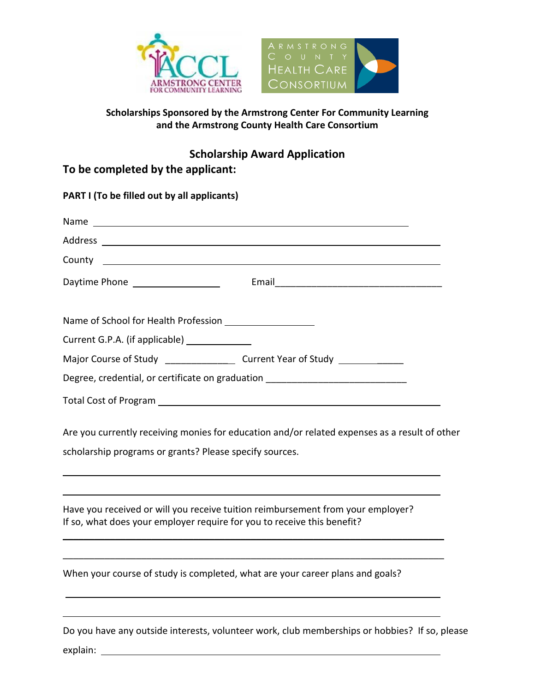



## **Scholarships Sponsored by the Armstrong Center For Community Learning and the Armstrong County Health Care Consortium**

# **To be completed by the applicant:**

|                                               | Daytime Phone <u>New York: New York: Email Paytime Phone</u>                                                                                               |
|-----------------------------------------------|------------------------------------------------------------------------------------------------------------------------------------------------------------|
|                                               |                                                                                                                                                            |
| Current G.P.A. (if applicable) ______________ |                                                                                                                                                            |
|                                               | Major Course of Study _____________________ Current Year of Study ______________                                                                           |
|                                               | Degree, credential, or certificate on graduation _______________________________                                                                           |
|                                               |                                                                                                                                                            |
|                                               | Are you currently receiving monies for education and/or related expenses as a result of other                                                              |
|                                               | scholarship programs or grants? Please specify sources.                                                                                                    |
|                                               | Have you received or will you receive tuition reimbursement from your employer?<br>If so, what does your employer require for you to receive this benefit? |
|                                               | When your course of study is completed, what are your career plans and goals?                                                                              |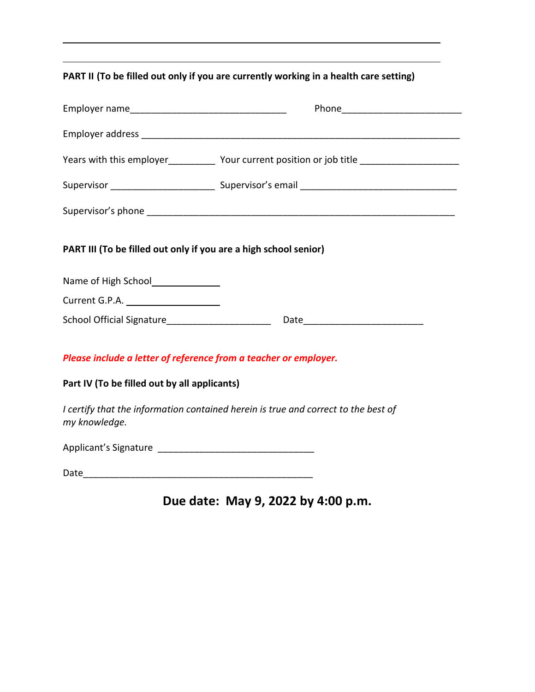## **PART II (To be filled out only if you are currently working in a health care setting)**

|                                                                  | Years with this employer______________ Your current position or job title _________________________ |
|------------------------------------------------------------------|-----------------------------------------------------------------------------------------------------|
|                                                                  |                                                                                                     |
|                                                                  |                                                                                                     |
| PART III (To be filled out only if you are a high school senior) |                                                                                                     |
| Name of High School<br><u>Land Communication</u>                 |                                                                                                     |
| Current G.P.A. ______________________                            |                                                                                                     |
|                                                                  |                                                                                                     |
| Please include a letter of reference from a teacher or employer. |                                                                                                     |
| Part IV (To be filled out by all applicants)                     |                                                                                                     |
| my knowledge.                                                    | I certify that the information contained herein is true and correct to the best of                  |
|                                                                  |                                                                                                     |
| Date                                                             |                                                                                                     |

# **Due date: May 9, 2022 by 4:00 p.m.**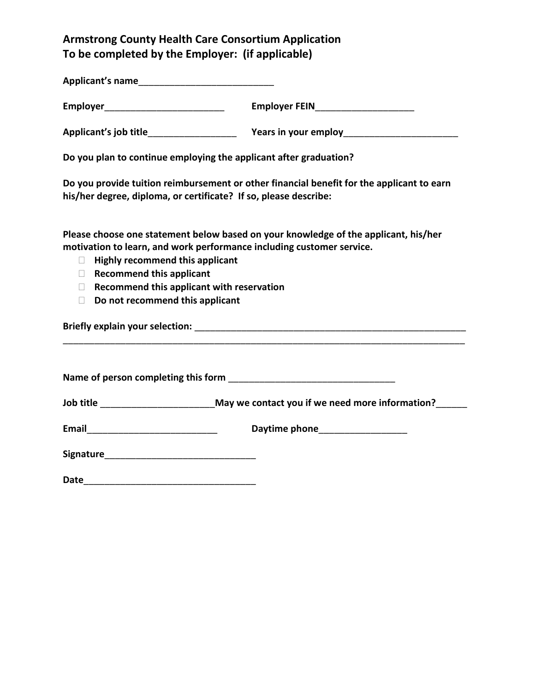## **Armstrong County Health Care Consortium Application To be completed by the Employer: (if applicable)**

**Applicant's name**\_\_\_\_\_\_\_\_\_\_\_\_\_\_\_\_\_\_\_\_\_\_\_\_\_\_

| <b>Employer</b> | <b>Employer FEIN</b> |
|-----------------|----------------------|
|                 |                      |

**Applicant's job title**\_\_\_\_\_\_\_\_\_\_\_\_\_\_\_\_\_ **Years in your employ**\_\_\_\_\_\_\_\_\_\_\_\_\_\_\_\_\_\_\_\_\_\_

**Do you plan to continue employing the applicant after graduation?**

**Do you provide tuition reimbursement or other financial benefit for the applicant to earn his/her degree, diploma, or certificate? If so, please describe:**

**Please choose one statement below based on your knowledge of the applicant, his/her motivation to learn, and work performance including customer service.**

- **Highly recommend this applicant**
- **Recommend this applicant**
- **Recommend this applicant with reservation**
- **Do not recommend this applicant**

**Briefly explain your selection:** <u>and the set of the set of the set of the set of the set of the set of the set of the set of the set of the set of the set of the set of the set of the set of the set of the set of the set</u>

| Name of person completing this form |  |
|-------------------------------------|--|
|-------------------------------------|--|

**Job title** \_\_\_\_\_\_\_\_\_\_\_\_\_\_\_\_\_\_\_\_\_\_**May we contact you if we need more information?**\_\_\_\_\_\_

\_\_\_\_\_\_\_\_\_\_\_\_\_\_\_\_\_\_\_\_\_\_\_\_\_\_\_\_\_\_\_\_\_\_\_\_\_\_\_\_\_\_\_\_\_\_\_\_\_\_\_\_\_\_\_\_\_\_\_\_\_\_\_\_\_\_\_\_\_\_\_\_\_\_\_\_\_

| Email | Daytime phone |
|-------|---------------|
|-------|---------------|

| <b>Signature</b> |  |  |  |
|------------------|--|--|--|
|                  |  |  |  |

**Date**\_\_\_\_\_\_\_\_\_\_\_\_\_\_\_\_\_\_\_\_\_\_\_\_\_\_\_\_\_\_\_\_\_